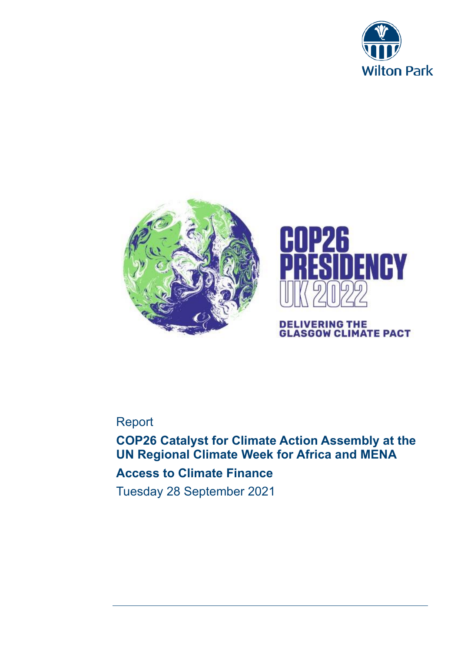





# **DELIVERING THE<br>GLASGOW CLIMATE PACT**

# Report

**COP26 Catalyst for Climate Action Assembly at the UN Regional Climate Week for Africa and MENA Access to Climate Finance** Tuesday 28 September 2021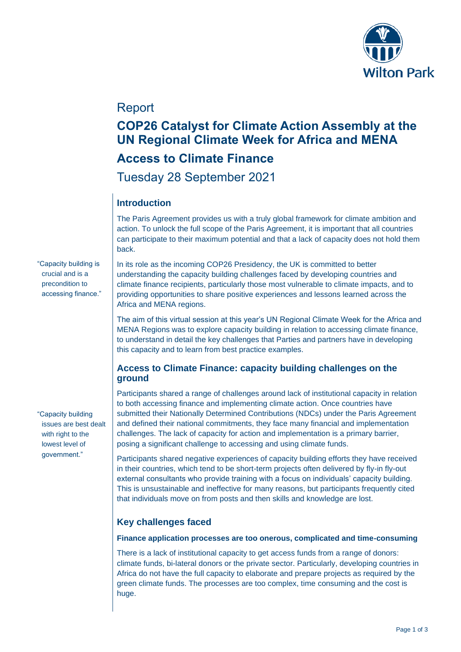

## Report

# **COP26 Catalyst for Climate Action Assembly at the UN Regional Climate Week for Africa and MENA**

## **Access to Climate Finance**

Tuesday 28 September 2021

## **Introduction**

The Paris Agreement provides us with a truly global framework for climate ambition and action. To unlock the full scope of the Paris Agreement, it is important that all countries can participate to their maximum potential and that a lack of capacity does not hold them back.

"Capacity building is crucial and is a precondition to accessing finance." In its role as the incoming COP26 Presidency, the UK is committed to better understanding the capacity building challenges faced by developing countries and climate finance recipients, particularly those most vulnerable to climate impacts, and to providing opportunities to share positive experiences and lessons learned across the Africa and MENA regions.

The aim of this virtual session at this year's UN Regional Climate Week for the Africa and MENA Regions was to explore capacity building in relation to accessing climate finance, to understand in detail the key challenges that Parties and partners have in developing this capacity and to learn from best practice examples.

#### **Access to Climate Finance: capacity building challenges on the ground**

Participants shared a range of challenges around lack of institutional capacity in relation to both accessing finance and implementing climate action. Once countries have submitted their Nationally Determined Contributions (NDCs) under the Paris Agreement and defined their national commitments, they face many financial and implementation challenges. The lack of capacity for action and implementation is a primary barrier, posing a significant challenge to accessing and using climate funds.

Participants shared negative experiences of capacity building efforts they have received in their countries, which tend to be short-term projects often delivered by fly-in fly-out external consultants who provide training with a focus on individuals' capacity building. This is unsustainable and ineffective for many reasons, but participants frequently cited that individuals move on from posts and then skills and knowledge are lost.

### **Key challenges faced**

**Finance application processes are too onerous, complicated and time-consuming** 

There is a lack of institutional capacity to get access funds from a range of donors: climate funds, bi-lateral donors or the private sector. Particularly, developing countries in Africa do not have the full capacity to elaborate and prepare projects as required by the green climate funds. The processes are too complex, time consuming and the cost is huge.

"Capacity building issues are best dealt with right to the lowest level of government."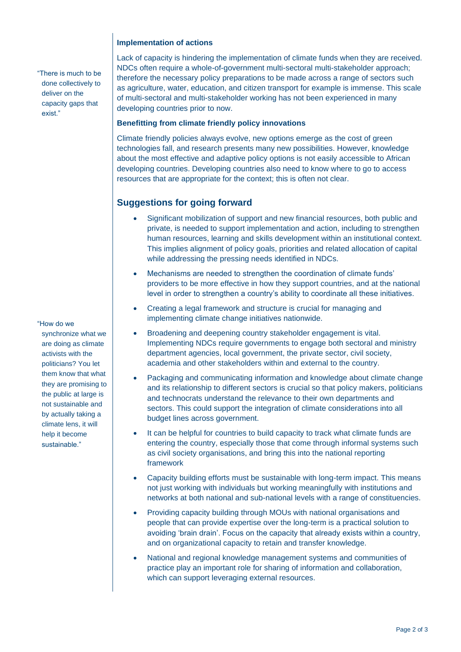#### **Implementation of actions**

"There is much to be done collectively to deliver on the capacity gaps that exist."

#### "How do we

synchronize what we are doing as climate activists with the politicians? You let them know that what they are promising to the public at large is not sustainable and by actually taking a climate lens, it will help it become sustainable."

Lack of capacity is hindering the implementation of climate funds when they are received. NDCs often require a whole-of-government multi-sectoral multi-stakeholder approach; therefore the necessary policy preparations to be made across a range of sectors such as agriculture, water, education, and citizen transport for example is immense. This scale of multi-sectoral and multi-stakeholder working has not been experienced in many developing countries prior to now.

#### **Benefitting from climate friendly policy innovations**

Climate friendly policies always evolve, new options emerge as the cost of green technologies fall, and research presents many new possibilities. However, knowledge about the most effective and adaptive policy options is not easily accessible to African developing countries. Developing countries also need to know where to go to access resources that are appropriate for the context; this is often not clear.

#### **Suggestions for going forward**

- Significant mobilization of support and new financial resources, both public and private, is needed to support implementation and action, including to strengthen human resources, learning and skills development within an institutional context. This implies alignment of policy goals, priorities and related allocation of capital while addressing the pressing needs identified in NDCs.
- Mechanisms are needed to strengthen the coordination of climate funds' providers to be more effective in how they support countries, and at the national level in order to strengthen a country's ability to coordinate all these initiatives.
- Creating a legal framework and structure is crucial for managing and implementing climate change initiatives nationwide.
- Broadening and deepening country stakeholder engagement is vital. Implementing NDCs require governments to engage both sectoral and ministry department agencies, local government, the private sector, civil society, academia and other stakeholders within and external to the country.
- Packaging and communicating information and knowledge about climate change and its relationship to different sectors is crucial so that policy makers, politicians and technocrats understand the relevance to their own departments and sectors. This could support the integration of climate considerations into all budget lines across government.
- It can be helpful for countries to build capacity to track what climate funds are entering the country, especially those that come through informal systems such as civil society organisations, and bring this into the national reporting framework
- Capacity building efforts must be sustainable with long-term impact. This means not just working with individuals but working meaningfully with institutions and networks at both national and sub-national levels with a range of constituencies.
- Providing capacity building through MOUs with national organisations and people that can provide expertise over the long-term is a practical solution to avoiding 'brain drain'. Focus on the capacity that already exists within a country, and on organizational capacity to retain and transfer knowledge.
- National and regional knowledge management systems and communities of practice play an important role for sharing of information and collaboration, which can support leveraging external resources.